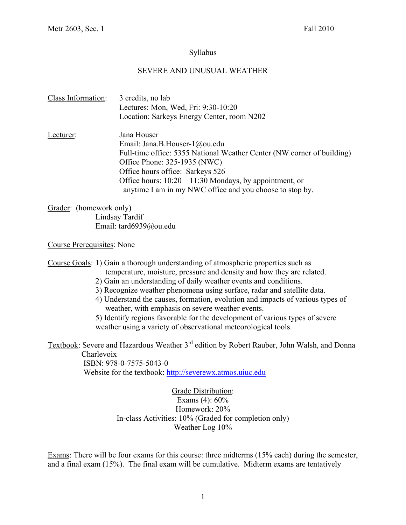# Syllabus

# SEVERE AND UNUSUAL WEATHER

| Class Information: | 3 credits, no lab<br>Lectures: Mon, Wed, Fri: 9:30-10:20<br>Location: Sarkeys Energy Center, room N202                                                                                                                                                                                                              |
|--------------------|---------------------------------------------------------------------------------------------------------------------------------------------------------------------------------------------------------------------------------------------------------------------------------------------------------------------|
| Lecturer:          | Jana Houser<br>Email: Jana.B.Houser-1@ou.edu<br>Full-time office: 5355 National Weather Center (NW corner of building)<br>Office Phone: 325-1935 (NWC)<br>Office hours office: Sarkeys 526<br>Office hours: $10:20 - 11:30$ Mondays, by appointment, or<br>anytime I am in my NWC office and you choose to stop by. |

Grader: (homework only) Lindsay Tardif Email: tard6939@ou.edu

Course Prerequisites: None

Course Goals: 1) Gain a thorough understanding of atmospheric properties such as temperature, moisture, pressure and density and how they are related.

- 2) Gain an understanding of daily weather events and conditions.
- 3) Recognize weather phenomena using surface, radar and satellite data.
- 4) Understand the causes, formation, evolution and impacts of various types of weather, with emphasis on severe weather events.

5) Identify regions favorable for the development of various types of severe weather using a variety of observational meteorological tools.

Textbook: Severe and Hazardous Weather 3<sup>rd</sup> edition by Robert Rauber, John Walsh, and Donna Charlevoix

 ISBN: 978-0-7575-5043-0 Website for the textbook: http://severewx.atmos.uiuc.edu

> Grade Distribution: Exams (4): 60% Homework: 20% In-class Activities: 10% (Graded for completion only) Weather Log 10%

Exams: There will be four exams for this course: three midterms (15% each) during the semester, and a final exam (15%). The final exam will be cumulative. Midterm exams are tentatively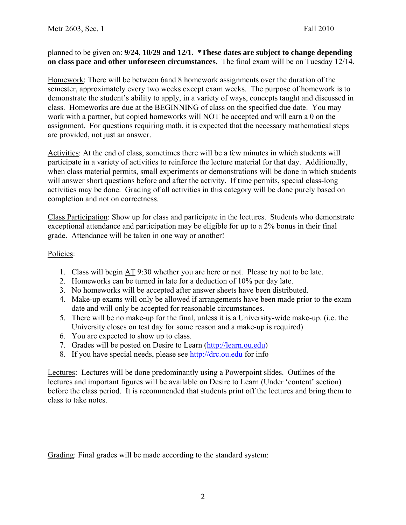planned to be given on: **9/24**, **10/29 and 12/1. \*These dates are subject to change depending on class pace and other unforeseen circumstances.** The final exam will be on Tuesday 12/14.

Homework: There will be between 6and 8 homework assignments over the duration of the semester, approximately every two weeks except exam weeks. The purpose of homework is to demonstrate the student's ability to apply, in a variety of ways, concepts taught and discussed in class. Homeworks are due at the BEGINNING of class on the specified due date. You may work with a partner, but copied homeworks will NOT be accepted and will earn a 0 on the assignment. For questions requiring math, it is expected that the necessary mathematical steps are provided, not just an answer.

Activities: At the end of class, sometimes there will be a few minutes in which students will participate in a variety of activities to reinforce the lecture material for that day. Additionally, when class material permits, small experiments or demonstrations will be done in which students will answer short questions before and after the activity. If time permits, special class-long activities may be done. Grading of all activities in this category will be done purely based on completion and not on correctness.

Class Participation: Show up for class and participate in the lectures. Students who demonstrate exceptional attendance and participation may be eligible for up to a 2% bonus in their final grade. Attendance will be taken in one way or another!

# Policies:

- 1. Class will begin AT 9:30 whether you are here or not. Please try not to be late.
- 2. Homeworks can be turned in late for a deduction of 10% per day late.
- 3. No homeworks will be accepted after answer sheets have been distributed.
- 4. Make-up exams will only be allowed if arrangements have been made prior to the exam date and will only be accepted for reasonable circumstances.
- 5. There will be no make-up for the final, unless it is a University-wide make-up. (i.e. the University closes on test day for some reason and a make-up is required)
- 6. You are expected to show up to class.
- 7. Grades will be posted on Desire to Learn (http://learn.ou.edu)
- 8. If you have special needs, please see http://drc.ou.edu for info

Lectures: Lectures will be done predominantly using a Powerpoint slides. Outlines of the lectures and important figures will be available on Desire to Learn (Under 'content' section) before the class period. It is recommended that students print off the lectures and bring them to class to take notes.

Grading: Final grades will be made according to the standard system: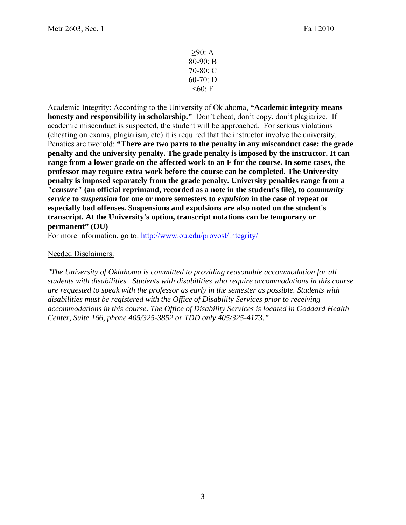≥90: A 80-90: B 70-80: C 60-70: D  $<60$ : F

Academic Integrity: According to the University of Oklahoma, **"Academic integrity means honesty and responsibility in scholarship."** Don't cheat, don't copy, don't plagiarize. If academic misconduct is suspected, the student will be approached. For serious violations (cheating on exams, plagiarism, etc) it is required that the instructor involve the university. Penaties are twofold: **"There are two parts to the penalty in any misconduct case: the grade penalty and the university penalty. The grade penalty is imposed by the instructor. It can range from a lower grade on the affected work to an F for the course. In some cases, the professor may require extra work before the course can be completed. The University penalty is imposed separately from the grade penalty. University penalties range from a "***censure***" (an official reprimand, recorded as a note in the student's file), to** *community service* **to** *suspension* **for one or more semesters to** *expulsion* **in the case of repeat or especially bad offenses. Suspensions and expulsions are also noted on the student's transcript. At the University's option, transcript notations can be temporary or permanent" (OU)**

For more information, go to: http://www.ou.edu/provost/integrity/

## Needed Disclaimers:

*"The University of Oklahoma is committed to providing reasonable accommodation for all students with disabilities. Students with disabilities who require accommodations in this course are requested to speak with the professor as early in the semester as possible. Students with disabilities must be registered with the Office of Disability Services prior to receiving accommodations in this course. The Office of Disability Services is located in Goddard Health Center, Suite 166, phone 405/325-3852 or TDD only 405/325-4173."*